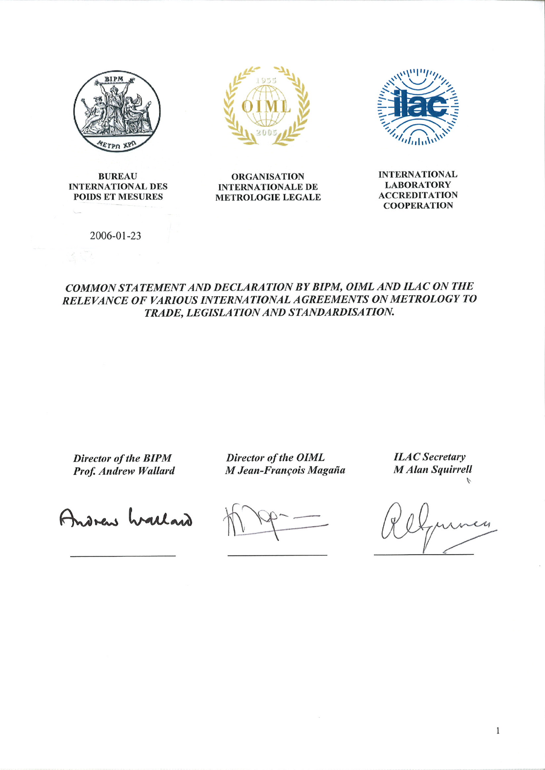

**BUREAU INTERNATIONAL DES POIDS ET MESURES** 





**ORGANISATION INTERNATIONALE DE METROLOGIE LEGALE**  **INTERNATIONAL LABORATORY ACCREDITATION COOPERATION** 

2006-01-23

## COMMON STATEMENT AND DECLARATION BY BIPM, OIML AND ILAC ON THE RELEVANCE OF VARIOUS INTERNATIONAL AGREEMENTS ON METROLOGY TO TRADE, LEGISLATION AND STANDARDISATION.

Director of the BIPM Prof. Andrew Wallard

Director of the OIML M Jean-François Magaña **ILAC** Secretary **M** Alan Squirrell

Andrew Wallard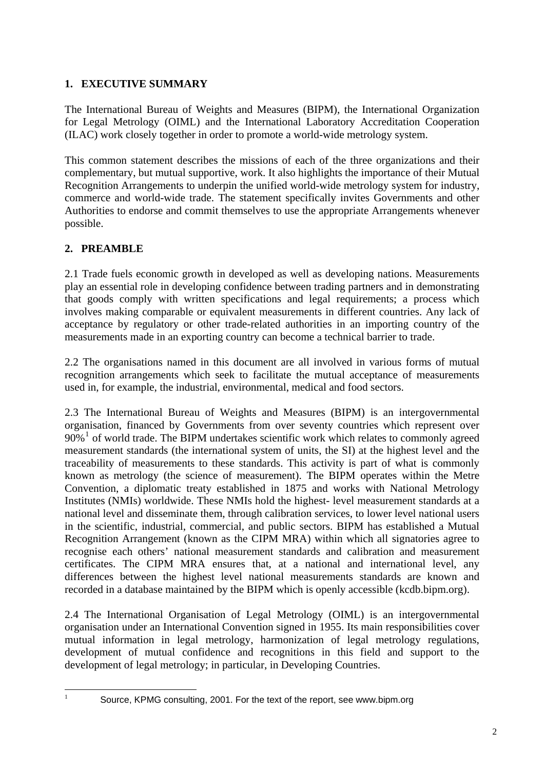# **1. EXECUTIVE SUMMARY**

The International Bureau of Weights and Measures (BIPM), the International Organization for Legal Metrology (OIML) and the International Laboratory Accreditation Cooperation (ILAC) work closely together in order to promote a world-wide metrology system.

This common statement describes the missions of each of the three organizations and their complementary, but mutual supportive, work. It also highlights the importance of their Mutual Recognition Arrangements to underpin the unified world-wide metrology system for industry, commerce and world-wide trade. The statement specifically invites Governments and other Authorities to endorse and commit themselves to use the appropriate Arrangements whenever possible.

# **2. PREAMBLE**

2.1 Trade fuels economic growth in developed as well as developing nations. Measurements play an essential role in developing confidence between trading partners and in demonstrating that goods comply with written specifications and legal requirements; a process which involves making comparable or equivalent measurements in different countries. Any lack of acceptance by regulatory or other trade-related authorities in an importing country of the measurements made in an exporting country can become a technical barrier to trade.

2.2 The organisations named in this document are all involved in various forms of mutual recognition arrangements which seek to facilitate the mutual acceptance of measurements used in, for example, the industrial, environmental, medical and food sectors.

2.3 The International Bureau of Weights and Measures (BIPM) is an intergovernmental organisation, financed by Governments from over seventy countries which represent over 90%<sup>[1](#page-1-0)</sup> of world trade. The BIPM undertakes scientific work which relates to commonly agreed measurement standards (the international system of units, the SI) at the highest level and the traceability of measurements to these standards. This activity is part of what is commonly known as metrology (the science of measurement). The BIPM operates within the Metre Convention, a diplomatic treaty established in 1875 and works with National Metrology Institutes (NMIs) worldwide. These NMIs hold the highest- level measurement standards at a national level and disseminate them, through calibration services, to lower level national users in the scientific, industrial, commercial, and public sectors. BIPM has established a Mutual Recognition Arrangement (known as the CIPM MRA) within which all signatories agree to recognise each others' national measurement standards and calibration and measurement certificates. The CIPM MRA ensures that, at a national and international level, any differences between the highest level national measurements standards are known and recorded in a database maintained by the BIPM which is openly accessible (kcdb.bipm.org).

2.4 The International Organisation of Legal Metrology (OIML) is an intergovernmental organisation under an International Convention signed in 1955. Its main responsibilities cover mutual information in legal metrology, harmonization of legal metrology regulations, development of mutual confidence and recognitions in this field and support to the development of legal metrology; in particular, in Developing Countries.

<span id="page-1-0"></span> $\frac{1}{1}$ 

Source, KPMG consulting, 2001. For the text of the report, see www.bipm.org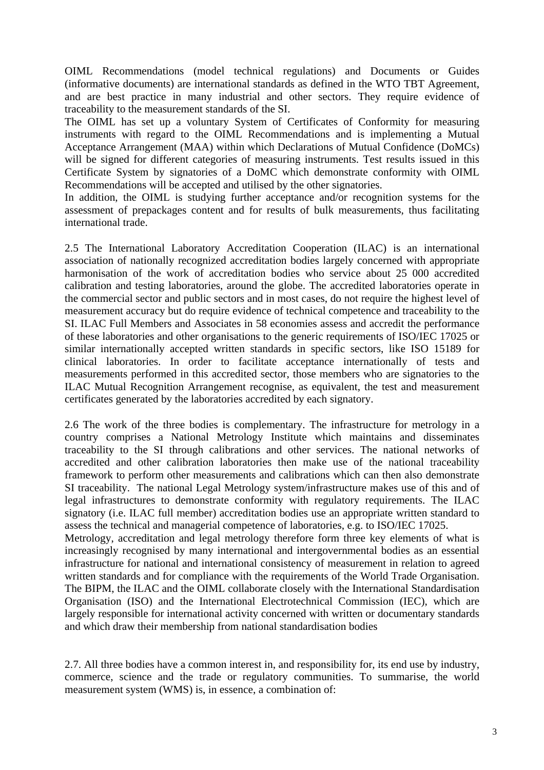OIML Recommendations (model technical regulations) and Documents or Guides (informative documents) are international standards as defined in the WTO TBT Agreement, and are best practice in many industrial and other sectors. They require evidence of traceability to the measurement standards of the SI.

The OIML has set up a voluntary System of Certificates of Conformity for measuring instruments with regard to the OIML Recommendations and is implementing a Mutual Acceptance Arrangement (MAA) within which Declarations of Mutual Confidence (DoMCs) will be signed for different categories of measuring instruments. Test results issued in this Certificate System by signatories of a DoMC which demonstrate conformity with OIML Recommendations will be accepted and utilised by the other signatories.

In addition, the OIML is studying further acceptance and/or recognition systems for the assessment of prepackages content and for results of bulk measurements, thus facilitating international trade.

2.5 The International Laboratory Accreditation Cooperation (ILAC) is an international association of nationally recognized accreditation bodies largely concerned with appropriate harmonisation of the work of accreditation bodies who service about 25 000 accredited calibration and testing laboratories, around the globe. The accredited laboratories operate in the commercial sector and public sectors and in most cases, do not require the highest level of measurement accuracy but do require evidence of technical competence and traceability to the SI. ILAC Full Members and Associates in 58 economies assess and accredit the performance of these laboratories and other organisations to the generic requirements of ISO/IEC 17025 or similar internationally accepted written standards in specific sectors, like ISO 15189 for clinical laboratories. In order to facilitate acceptance internationally of tests and measurements performed in this accredited sector, those members who are signatories to the ILAC Mutual Recognition Arrangement recognise, as equivalent, the test and measurement certificates generated by the laboratories accredited by each signatory.

2.6 The work of the three bodies is complementary. The infrastructure for metrology in a country comprises a National Metrology Institute which maintains and disseminates traceability to the SI through calibrations and other services. The national networks of accredited and other calibration laboratories then make use of the national traceability framework to perform other measurements and calibrations which can then also demonstrate SI traceability. The national Legal Metrology system/infrastructure makes use of this and of legal infrastructures to demonstrate conformity with regulatory requirements. The ILAC signatory (i.e. ILAC full member) accreditation bodies use an appropriate written standard to assess the technical and managerial competence of laboratories, e.g. to ISO/IEC 17025.

Metrology, accreditation and legal metrology therefore form three key elements of what is increasingly recognised by many international and intergovernmental bodies as an essential infrastructure for national and international consistency of measurement in relation to agreed written standards and for compliance with the requirements of the World Trade Organisation. The BIPM, the ILAC and the OIML collaborate closely with the International Standardisation Organisation (ISO) and the International Electrotechnical Commission (IEC), which are largely responsible for international activity concerned with written or documentary standards and which draw their membership from national standardisation bodies

2.7. All three bodies have a common interest in, and responsibility for, its end use by industry, commerce, science and the trade or regulatory communities. To summarise, the world measurement system (WMS) is, in essence, a combination of: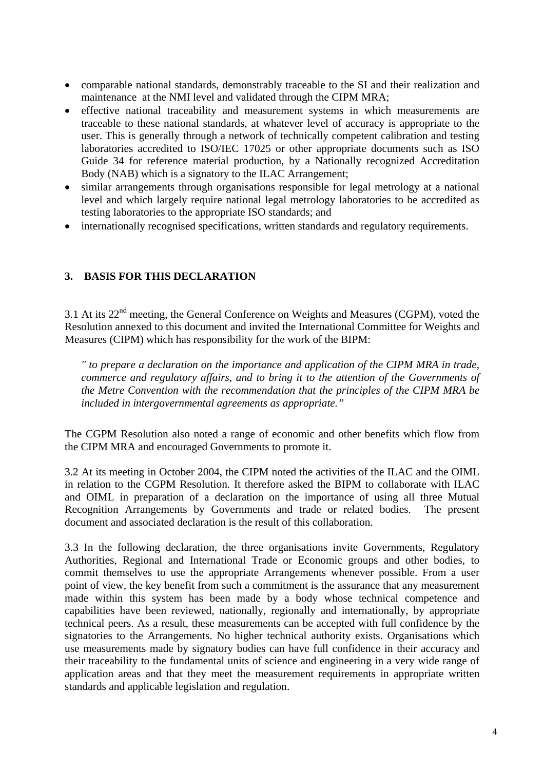- comparable national standards, demonstrably traceable to the SI and their realization and maintenance at the NMI level and validated through the CIPM MRA;
- effective national traceability and measurement systems in which measurements are traceable to these national standards, at whatever level of accuracy is appropriate to the user. This is generally through a network of technically competent calibration and testing laboratories accredited to ISO/IEC 17025 or other appropriate documents such as ISO Guide 34 for reference material production, by a Nationally recognized Accreditation Body (NAB) which is a signatory to the ILAC Arrangement;
- similar arrangements through organisations responsible for legal metrology at a national level and which largely require national legal metrology laboratories to be accredited as testing laboratories to the appropriate ISO standards; and
- internationally recognised specifications, written standards and regulatory requirements.

# **3. BASIS FOR THIS DECLARATION**

3.1 At its  $22<sup>nd</sup>$  meeting, the General Conference on Weights and Measures (CGPM), voted the Resolution annexed to this document and invited the International Committee for Weights and Measures (CIPM) which has responsibility for the work of the BIPM:

*" to prepare a declaration on the importance and application of the CIPM MRA in trade, commerce and regulatory affairs, and to bring it to the attention of the Governments of the Metre Convention with the recommendation that the principles of the CIPM MRA be included in intergovernmental agreements as appropriate."* 

The CGPM Resolution also noted a range of economic and other benefits which flow from the CIPM MRA and encouraged Governments to promote it.

3.2 At its meeting in October 2004, the CIPM noted the activities of the ILAC and the OIML in relation to the CGPM Resolution. It therefore asked the BIPM to collaborate with ILAC and OIML in preparation of a declaration on the importance of using all three Mutual Recognition Arrangements by Governments and trade or related bodies. The present document and associated declaration is the result of this collaboration.

3.3 In the following declaration, the three organisations invite Governments, Regulatory Authorities, Regional and International Trade or Economic groups and other bodies, to commit themselves to use the appropriate Arrangements whenever possible. From a user point of view, the key benefit from such a commitment is the assurance that any measurement made within this system has been made by a body whose technical competence and capabilities have been reviewed, nationally, regionally and internationally, by appropriate technical peers. As a result, these measurements can be accepted with full confidence by the signatories to the Arrangements. No higher technical authority exists. Organisations which use measurements made by signatory bodies can have full confidence in their accuracy and their traceability to the fundamental units of science and engineering in a very wide range of application areas and that they meet the measurement requirements in appropriate written standards and applicable legislation and regulation.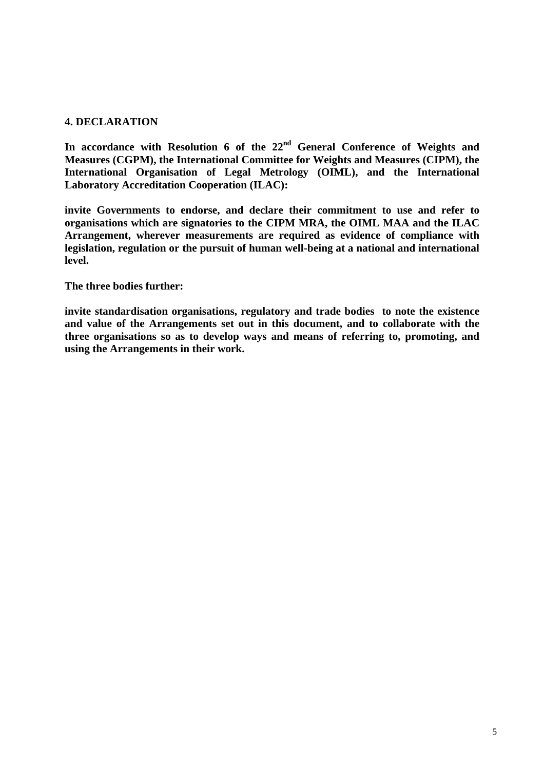### **4. DECLARATION**

**In accordance with Resolution 6 of the 22nd General Conference of Weights and Measures (CGPM), the International Committee for Weights and Measures (CIPM), the International Organisation of Legal Metrology (OIML), and the International Laboratory Accreditation Cooperation (ILAC):** 

**invite Governments to endorse, and declare their commitment to use and refer to organisations which are signatories to the CIPM MRA, the OIML MAA and the ILAC Arrangement, wherever measurements are required as evidence of compliance with legislation, regulation or the pursuit of human well-being at a national and international level.** 

### **The three bodies further:**

**invite standardisation organisations, regulatory and trade bodies to note the existence and value of the Arrangements set out in this document, and to collaborate with the three organisations so as to develop ways and means of referring to, promoting, and using the Arrangements in their work.**